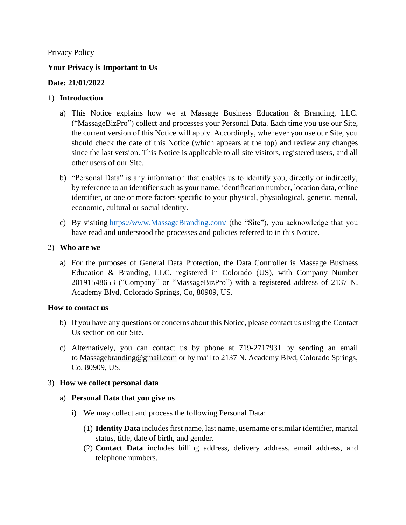#### Privacy Policy

#### **Your Privacy is Important to Us**

#### **Date: 21/01/2022**

#### 1) **Introduction**

- a) This Notice explains how we at Massage Business Education & Branding, LLC. ("MassageBizPro") collect and processes your Personal Data. Each time you use our Site, the current version of this Notice will apply. Accordingly, whenever you use our Site, you should check the date of this Notice (which appears at the top) and review any changes since the last version. This Notice is applicable to all site visitors, registered users, and all other users of our Site.
- b) "Personal Data" is any information that enables us to identify you, directly or indirectly, by reference to an identifier such as your name, identification number, location data, online identifier, or one or more factors specific to your physical, physiological, genetic, mental, economic, cultural or social identity.
- c) By visiting [https://www.MassageBranding.com/](https://www.massagebranding.com/) (the "Site"), you acknowledge that you have read and understood the processes and policies referred to in this Notice.

#### 2) **Who are we**

a) For the purposes of General Data Protection, the Data Controller is Massage Business Education & Branding, LLC. registered in Colorado (US), with Company Number 20191548653 ("Company" or "MassageBizPro") with a registered address of 2137 N. Academy Blvd, Colorado Springs, Co, 80909, US.

#### **How to contact us**

- b) If you have any questions or concerns about this Notice, please contact us using the Contact Us section on our Site.
- c) Alternatively, you can contact us by phone at 719-2717931 by sending an email to Massagebranding@gmail.com or by mail to 2137 N. Academy Blvd, Colorado Springs, Co, 80909, US.

#### 3) **How we collect personal data**

#### a) **Personal Data that you give us**

- i) We may collect and process the following Personal Data:
	- (1) **Identity Data** includes first name, last name, username or similar identifier, marital status, title, date of birth, and gender.
	- (2) **Contact Data** includes billing address, delivery address, email address, and telephone numbers.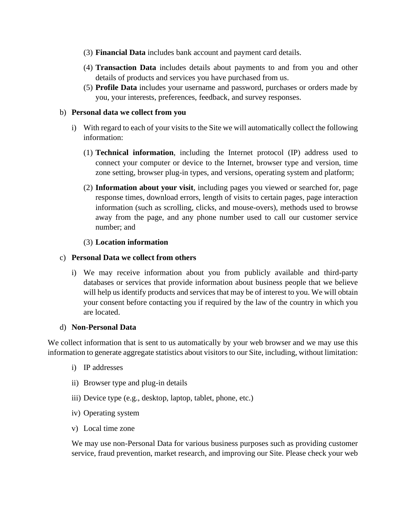- (3) **Financial Data** includes bank account and payment card details.
- (4) **Transaction Data** includes details about payments to and from you and other details of products and services you have purchased from us.
- (5) **Profile Data** includes your username and password, purchases or orders made by you, your interests, preferences, feedback, and survey responses.

#### b) **Personal data we collect from you**

- i) With regard to each of your visits to the Site we will automatically collect the following information:
	- (1) **Technical information**, including the Internet protocol (IP) address used to connect your computer or device to the Internet, browser type and version, time zone setting, browser plug-in types, and versions, operating system and platform;
	- (2) **Information about your visit**, including pages you viewed or searched for, page response times, download errors, length of visits to certain pages, page interaction information (such as scrolling, clicks, and mouse-overs), methods used to browse away from the page, and any phone number used to call our customer service number; and

#### (3) **Location information**

#### c) **Personal Data we collect from others**

i) We may receive information about you from publicly available and third-party databases or services that provide information about business people that we believe will help us identify products and services that may be of interest to you. We will obtain your consent before contacting you if required by the law of the country in which you are located.

#### d) **Non-Personal Data**

We collect information that is sent to us automatically by your web browser and we may use this information to generate aggregate statistics about visitors to our Site, including, without limitation:

- i) IP addresses
- ii) Browser type and plug-in details
- iii) Device type (e.g., desktop, laptop, tablet, phone, etc.)
- iv) Operating system
- v) Local time zone

We may use non-Personal Data for various business purposes such as providing customer service, fraud prevention, market research, and improving our Site. Please check your web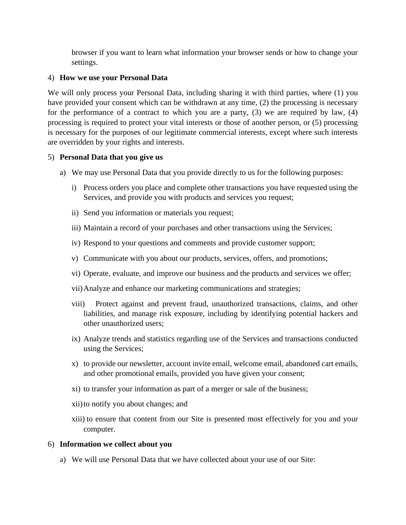browser if you want to learn what information your browser sends or how to change your settings.

#### 4) **How we use your Personal Data**

We will only process your Personal Data, including sharing it with third parties, where (1) you have provided your consent which can be withdrawn at any time, (2) the processing is necessary for the performance of a contract to which you are a party, (3) we are required by law, (4) processing is required to protect your vital interests or those of another person, or (5) processing is necessary for the purposes of our legitimate commercial interests, except where such interests are overridden by your rights and interests.

#### 5) **Personal Data that you give us**

- a) We may use Personal Data that you provide directly to us for the following purposes:
	- i) Process orders you place and complete other transactions you have requested using the Services, and provide you with products and services you request;
	- ii) Send you information or materials you request;
	- iii) Maintain a record of your purchases and other transactions using the Services;
	- iv) Respond to your questions and comments and provide customer support;
	- v) Communicate with you about our products, services, offers, and promotions;
	- vi) Operate, evaluate, and improve our business and the products and services we offer;
	- vii)Analyze and enhance our marketing communications and strategies;
	- viii) Protect against and prevent fraud, unauthorized transactions, claims, and other liabilities, and manage risk exposure, including by identifying potential hackers and other unauthorized users;
	- ix) Analyze trends and statistics regarding use of the Services and transactions conducted using the Services;
	- x) to provide our newsletter, account invite email, welcome email, abandoned cart emails, and other promotional emails, provided you have given your consent;
	- xi) to transfer your information as part of a merger or sale of the business;
	- xii)to notify you about changes; and
	- xiii) to ensure that content from our Site is presented most effectively for you and your computer.

#### 6) **Information we collect about you**

a) We will use Personal Data that we have collected about your use of our Site: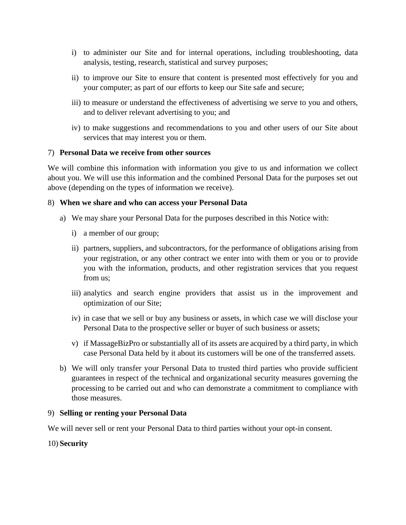- i) to administer our Site and for internal operations, including troubleshooting, data analysis, testing, research, statistical and survey purposes;
- ii) to improve our Site to ensure that content is presented most effectively for you and your computer; as part of our efforts to keep our Site safe and secure;
- iii) to measure or understand the effectiveness of advertising we serve to you and others, and to deliver relevant advertising to you; and
- iv) to make suggestions and recommendations to you and other users of our Site about services that may interest you or them.

## 7) **Personal Data we receive from other sources**

We will combine this information with information you give to us and information we collect about you. We will use this information and the combined Personal Data for the purposes set out above (depending on the types of information we receive).

#### 8) **When we share and who can access your Personal Data**

- a) We may share your Personal Data for the purposes described in this Notice with:
	- i) a member of our group;
	- ii) partners, suppliers, and subcontractors, for the performance of obligations arising from your registration, or any other contract we enter into with them or you or to provide you with the information, products, and other registration services that you request from us;
	- iii) analytics and search engine providers that assist us in the improvement and optimization of our Site;
	- iv) in case that we sell or buy any business or assets, in which case we will disclose your Personal Data to the prospective seller or buyer of such business or assets;
	- v) if MassageBizPro or substantially all of its assets are acquired by a third party, in which case Personal Data held by it about its customers will be one of the transferred assets.
- b) We will only transfer your Personal Data to trusted third parties who provide sufficient guarantees in respect of the technical and organizational security measures governing the processing to be carried out and who can demonstrate a commitment to compliance with those measures.

## 9) **Selling or renting your Personal Data**

We will never sell or rent your Personal Data to third parties without your opt-in consent.

## 10) **Security**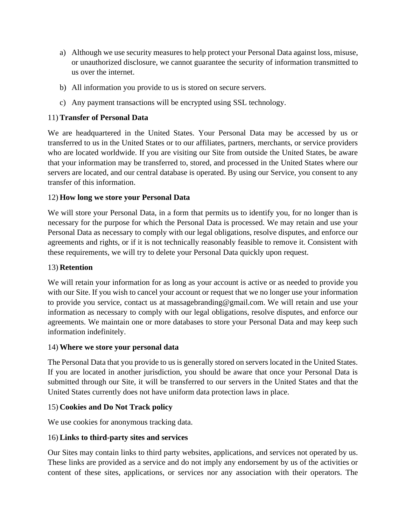- a) Although we use security measures to help protect your Personal Data against loss, misuse, or unauthorized disclosure, we cannot guarantee the security of information transmitted to us over the internet.
- b) All information you provide to us is stored on secure servers.
- c) Any payment transactions will be encrypted using SSL technology.

## 11) **Transfer of Personal Data**

We are headquartered in the United States. Your Personal Data may be accessed by us or transferred to us in the United States or to our affiliates, partners, merchants, or service providers who are located worldwide. If you are visiting our Site from outside the United States, be aware that your information may be transferred to, stored, and processed in the United States where our servers are located, and our central database is operated. By using our Service, you consent to any transfer of this information.

## 12) **How long we store your Personal Data**

We will store your Personal Data, in a form that permits us to identify you, for no longer than is necessary for the purpose for which the Personal Data is processed. We may retain and use your Personal Data as necessary to comply with our legal obligations, resolve disputes, and enforce our agreements and rights, or if it is not technically reasonably feasible to remove it. Consistent with these requirements, we will try to delete your Personal Data quickly upon request.

## 13) **Retention**

We will retain your information for as long as your account is active or as needed to provide you with our Site. If you wish to cancel your account or request that we no longer use your information to provide you service, contact us at massagebranding@gmail.com. We will retain and use your information as necessary to comply with our legal obligations, resolve disputes, and enforce our agreements. We maintain one or more databases to store your Personal Data and may keep such information indefinitely.

## 14) **Where we store your personal data**

The Personal Data that you provide to us is generally stored on servers located in the United States. If you are located in another jurisdiction, you should be aware that once your Personal Data is submitted through our Site, it will be transferred to our servers in the United States and that the United States currently does not have uniform data protection laws in place.

## 15) **Cookies and Do Not Track policy**

We use cookies for anonymous tracking data.

## 16) **Links to third-party sites and services**

Our Sites may contain links to third party websites, applications, and services not operated by us. These links are provided as a service and do not imply any endorsement by us of the activities or content of these sites, applications, or services nor any association with their operators. The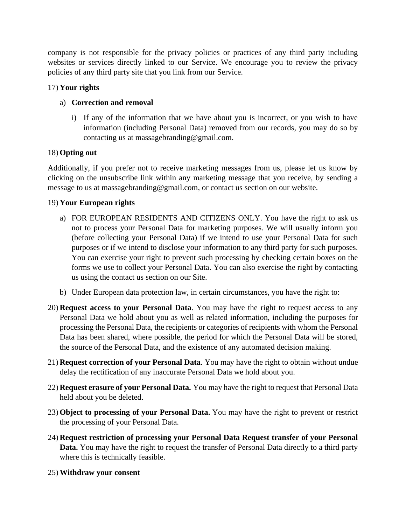company is not responsible for the privacy policies or practices of any third party including websites or services directly linked to our Service. We encourage you to review the privacy policies of any third party site that you link from our Service.

# 17) **Your rights**

# a) **Correction and removal**

i) If any of the information that we have about you is incorrect, or you wish to have information (including Personal Data) removed from our records, you may do so by contacting us at massagebranding@gmail.com.

# 18) **Opting out**

Additionally, if you prefer not to receive marketing messages from us, please let us know by clicking on the unsubscribe link within any marketing message that you receive, by sending a message to us at massagebranding@gmail.com, or contact us section on our website.

## 19) **Your European rights**

- a) FOR EUROPEAN RESIDENTS AND CITIZENS ONLY. You have the right to ask us not to process your Personal Data for marketing purposes. We will usually inform you (before collecting your Personal Data) if we intend to use your Personal Data for such purposes or if we intend to disclose your information to any third party for such purposes. You can exercise your right to prevent such processing by checking certain boxes on the forms we use to collect your Personal Data. You can also exercise the right by contacting us using the contact us section on our Site.
- b) Under European data protection law, in certain circumstances, you have the right to:
- 20) **Request access to your Personal Data**. You may have the right to request access to any Personal Data we hold about you as well as related information, including the purposes for processing the Personal Data, the recipients or categories of recipients with whom the Personal Data has been shared, where possible, the period for which the Personal Data will be stored, the source of the Personal Data, and the existence of any automated decision making.
- 21) **Request correction of your Personal Data**. You may have the right to obtain without undue delay the rectification of any inaccurate Personal Data we hold about you.
- 22) **Request erasure of your Personal Data.** You may have the right to request that Personal Data held about you be deleted.
- 23) **Object to processing of your Personal Data.** You may have the right to prevent or restrict the processing of your Personal Data.
- 24) **Request restriction of processing your Personal Data Request transfer of your Personal Data.** You may have the right to request the transfer of Personal Data directly to a third party where this is technically feasible.
- 25) **Withdraw your consent**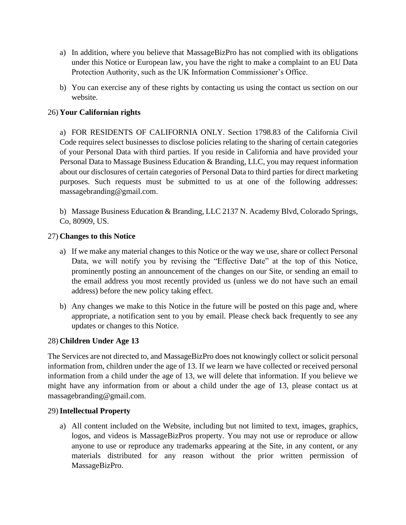- a) In addition, where you believe that MassageBizPro has not complied with its obligations under this Notice or European law, you have the right to make a complaint to an EU Data Protection Authority, such as the UK Information Commissioner's Office.
- b) You can exercise any of these rights by contacting us using the contact us section on our website.

# 26) **Your Californian rights**

a) FOR RESIDENTS OF CALIFORNIA ONLY. Section 1798.83 of the California Civil Code requires select businesses to disclose policies relating to the sharing of certain categories of your Personal Data with third parties. If you reside in California and have provided your Personal Data to Massage Business Education & Branding, LLC, you may request information about our disclosures of certain categories of Personal Data to third parties for direct marketing purposes. Such requests must be submitted to us at one of the following addresses: massagebranding@gmail.com.

b) Massage Business Education & Branding, LLC 2137 N. Academy Blvd, Colorado Springs, Co, 80909, US.

## 27) **Changes to this Notice**

- a) If we make any material changes to this Notice or the way we use, share or collect Personal Data, we will notify you by revising the "Effective Date" at the top of this Notice, prominently posting an announcement of the changes on our Site, or sending an email to the email address you most recently provided us (unless we do not have such an email address) before the new policy taking effect.
- b) Any changes we make to this Notice in the future will be posted on this page and, where appropriate, a notification sent to you by email. Please check back frequently to see any updates or changes to this Notice.

## 28) **Children Under Age 13**

The Services are not directed to, and MassageBizPro does not knowingly collect or solicit personal information from, children under the age of 13. If we learn we have collected or received personal information from a child under the age of 13, we will delete that information. If you believe we might have any information from or about a child under the age of 13, please contact us at massagebranding@gmail.com.

## 29)**Intellectual Property**

a) All content included on the Website, including but not limited to text, images, graphics, logos, and videos is MassageBizPros property. You may not use or reproduce or allow anyone to use or reproduce any trademarks appearing at the Site, in any content, or any materials distributed for any reason without the prior written permission of MassageBizPro.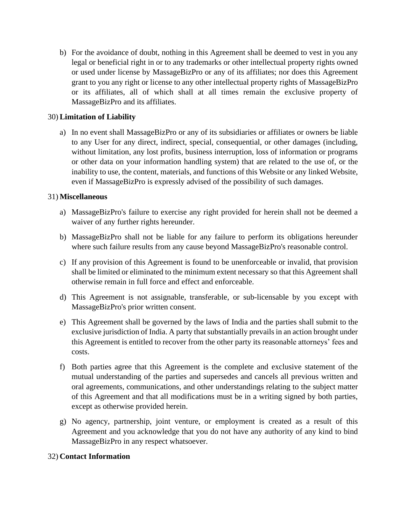b) For the avoidance of doubt, nothing in this Agreement shall be deemed to vest in you any legal or beneficial right in or to any trademarks or other intellectual property rights owned or used under license by MassageBizPro or any of its affiliates; nor does this Agreement grant to you any right or license to any other intellectual property rights of MassageBizPro or its affiliates, all of which shall at all times remain the exclusive property of MassageBizPro and its affiliates.

## 30) **Limitation of Liability**

a) In no event shall MassageBizPro or any of its subsidiaries or affiliates or owners be liable to any User for any direct, indirect, special, consequential, or other damages (including, without limitation, any lost profits, business interruption, loss of information or programs or other data on your information handling system) that are related to the use of, or the inability to use, the content, materials, and functions of this Website or any linked Website, even if MassageBizPro is expressly advised of the possibility of such damages.

## 31) **Miscellaneous**

- a) MassageBizPro's failure to exercise any right provided for herein shall not be deemed a waiver of any further rights hereunder.
- b) MassageBizPro shall not be liable for any failure to perform its obligations hereunder where such failure results from any cause beyond MassageBizPro's reasonable control.
- c) If any provision of this Agreement is found to be unenforceable or invalid, that provision shall be limited or eliminated to the minimum extent necessary so that this Agreement shall otherwise remain in full force and effect and enforceable.
- d) This Agreement is not assignable, transferable, or sub-licensable by you except with MassageBizPro's prior written consent.
- e) This Agreement shall be governed by the laws of India and the parties shall submit to the exclusive jurisdiction of India. A party that substantially prevails in an action brought under this Agreement is entitled to recover from the other party its reasonable attorneys' fees and costs.
- f) Both parties agree that this Agreement is the complete and exclusive statement of the mutual understanding of the parties and supersedes and cancels all previous written and oral agreements, communications, and other understandings relating to the subject matter of this Agreement and that all modifications must be in a writing signed by both parties, except as otherwise provided herein.
- g) No agency, partnership, joint venture, or employment is created as a result of this Agreement and you acknowledge that you do not have any authority of any kind to bind MassageBizPro in any respect whatsoever.

## 32) **Contact Information**